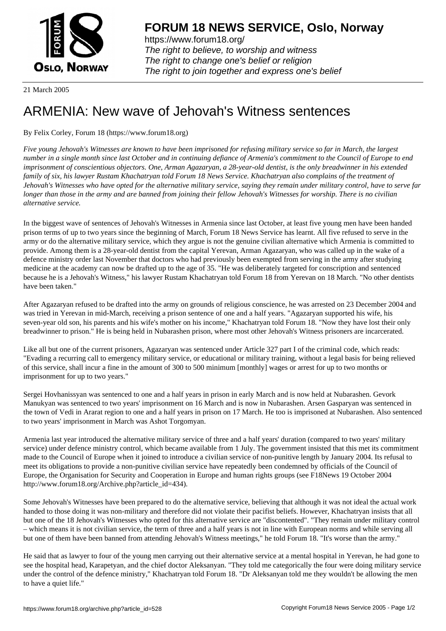

https://www.forum18.org/ The right to believe, to worship and witness The right to change one's belief or religion [The right to join together a](https://www.forum18.org/)nd express one's belief

21 March 2005

## [ARMENIA: New](https://www.forum18.org) wave of Jehovah's Witness sentences

## By Felix Corley, Forum 18 (https://www.forum18.org)

*Five young Jehovah's Witnesses are known to have been imprisoned for refusing military service so far in March, the largest number in a single month since last October and in continuing defiance of Armenia's commitment to the Council of Europe to end imprisonment of conscientious objectors. One, Arman Agazaryan, a 28-year-old dentist, is the only breadwinner in his extended family of six, his lawyer Rustam Khachatryan told Forum 18 News Service. Khachatryan also complains of the treatment of Jehovah's Witnesses who have opted for the alternative military service, saying they remain under military control, have to serve far longer than those in the army and are banned from joining their fellow Jehovah's Witnesses for worship. There is no civilian alternative service.*

In the biggest wave of sentences of Jehovah's Witnesses in Armenia since last October, at least five young men have been handed prison terms of up to two years since the beginning of March, Forum 18 News Service has learnt. All five refused to serve in the army or do the alternative military service, which they argue is not the genuine civilian alternative which Armenia is committed to provide. Among them is a 28-year-old dentist from the capital Yerevan, Arman Agazaryan, who was called up in the wake of a defence ministry order last November that doctors who had previously been exempted from serving in the army after studying medicine at the academy can now be drafted up to the age of 35. "He was deliberately targeted for conscription and sentenced because he is a Jehovah's Witness," his lawyer Rustam Khachatryan told Forum 18 from Yerevan on 18 March. "No other dentists have been taken."

After Agazaryan refused to be drafted into the army on grounds of religious conscience, he was arrested on 23 December 2004 and was tried in Yerevan in mid-March, receiving a prison sentence of one and a half years. "Agazaryan supported his wife, his seven-year old son, his parents and his wife's mother on his income," Khachatryan told Forum 18. "Now they have lost their only breadwinner to prison." He is being held in Nubarashen prison, where most other Jehovah's Witness prisoners are incarcerated.

Like all but one of the current prisoners, Agazaryan was sentenced under Article 327 part I of the criminal code, which reads: "Evading a recurring call to emergency military service, or educational or military training, without a legal basis for being relieved of this service, shall incur a fine in the amount of 300 to 500 minimum [monthly] wages or arrest for up to two months or imprisonment for up to two years."

Sergei Hovhanissyan was sentenced to one and a half years in prison in early March and is now held at Nubarashen. Gevork Manukyan was sentenced to two years' imprisonment on 16 March and is now in Nubarashen. Arsen Gasparyan was sentenced in the town of Vedi in Ararat region to one and a half years in prison on 17 March. He too is imprisoned at Nubarashen. Also sentenced to two years' imprisonment in March was Ashot Torgomyan.

Armenia last year introduced the alternative military service of three and a half years' duration (compared to two years' military service) under defence ministry control, which became available from 1 July. The government insisted that this met its commitment made to the Council of Europe when it joined to introduce a civilian service of non-punitive length by January 2004. Its refusal to meet its obligations to provide a non-punitive civilian service have repeatedly been condemned by officials of the Council of Europe, the Organisation for Security and Cooperation in Europe and human rights groups (see F18News 19 October 2004 http://www.forum18.org/Archive.php?article\_id=434).

Some Jehovah's Witnesses have been prepared to do the alternative service, believing that although it was not ideal the actual work handed to those doing it was non-military and therefore did not violate their pacifist beliefs. However, Khachatryan insists that all but one of the 18 Jehovah's Witnesses who opted for this alternative service are "discontented". "They remain under military control – which means it is not civilian service, the term of three and a half years is not in line with European norms and while serving all but one of them have been banned from attending Jehovah's Witness meetings," he told Forum 18. "It's worse than the army."

He said that as lawyer to four of the young men carrying out their alternative service at a mental hospital in Yerevan, he had gone to see the hospital head, Karapetyan, and the chief doctor Aleksanyan. "They told me categorically the four were doing military service under the control of the defence ministry," Khachatryan told Forum 18. "Dr Aleksanyan told me they wouldn't be allowing the men to have a quiet life."